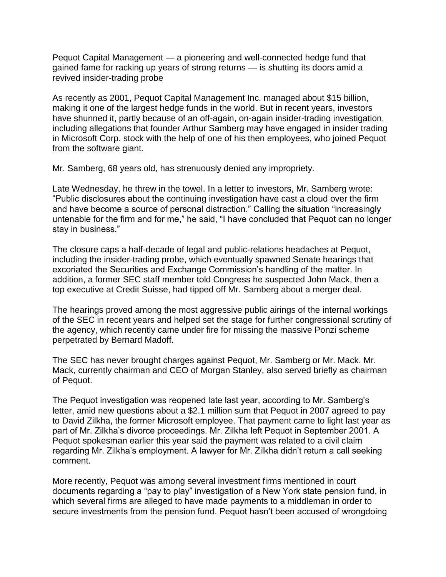Pequot Capital Management — a pioneering and well-connected hedge fund that gained fame for racking up years of strong returns — is shutting its doors amid a revived insider-trading probe

As recently as 2001, Pequot Capital Management Inc. managed about \$15 billion, making it one of the largest hedge funds in the world. But in recent years, investors have shunned it, partly because of an off-again, on-again insider-trading investigation, including allegations that founder Arthur Samberg may have engaged in insider trading in Microsoft Corp. stock with the help of one of his then employees, who joined Pequot from the software giant.

Mr. Samberg, 68 years old, has strenuously denied any impropriety.

Late Wednesday, he threw in the towel. In a letter to investors, Mr. Samberg wrote: "Public disclosures about the continuing investigation have cast a cloud over the firm and have become a source of personal distraction." Calling the situation "increasingly untenable for the firm and for me," he said, "I have concluded that Pequot can no longer stay in business."

The closure caps a half-decade of legal and public-relations headaches at Pequot, including the insider-trading probe, which eventually spawned Senate hearings that excoriated the Securities and Exchange Commission's handling of the matter. In addition, a former SEC staff member told Congress he suspected John Mack, then a top executive at Credit Suisse, had tipped off Mr. Samberg about a merger deal.

The hearings proved among the most aggressive public airings of the internal workings of the SEC in recent years and helped set the stage for further congressional scrutiny of the agency, which recently came under fire for missing the massive Ponzi scheme perpetrated by Bernard Madoff.

The SEC has never brought charges against Pequot, Mr. Samberg or Mr. Mack. Mr. Mack, currently chairman and CEO of Morgan Stanley, also served briefly as chairman of Pequot.

The Pequot investigation was reopened late last year, according to Mr. Samberg's letter, amid new questions about a \$2.1 million sum that Pequot in 2007 agreed to pay to David Zilkha, the former Microsoft employee. That payment came to light last year as part of Mr. Zilkha's divorce proceedings. Mr. Zilkha left Pequot in September 2001. A Pequot spokesman earlier this year said the payment was related to a civil claim regarding Mr. Zilkha's employment. A lawyer for Mr. Zilkha didn't return a call seeking comment.

More recently, Pequot was among several investment firms mentioned in court documents regarding a "pay to play" investigation of a New York state pension fund, in which several firms are alleged to have made payments to a middleman in order to secure investments from the pension fund. Pequot hasn't been accused of wrongdoing